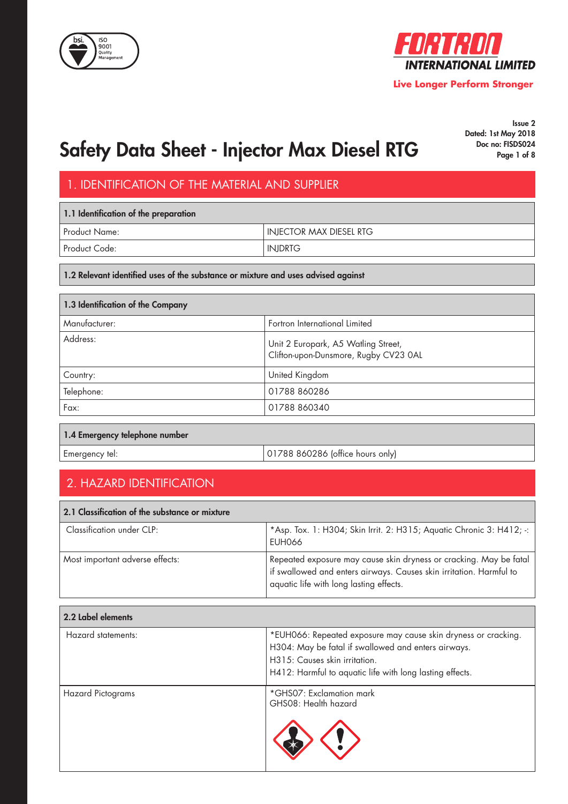



Issue 2 Dated: 1st May 2018

# Safety Data Sheet - Injector Max Diesel RTG Docho: FISDS024

## 1. IDENTIFICATION OF THE MATERIAL AND SUPPLIER

| 1.1 Identification of the preparation |                                |  |
|---------------------------------------|--------------------------------|--|
| Product Name:                         | <b>INJECTOR MAX DIESEL RTG</b> |  |
| Product Code:                         | <b>INJDRTG</b>                 |  |

#### 1.2 Relevant identified uses of the substance or mixture and uses advised against

| 1.3 Identification of the Company |                                                                              |  |
|-----------------------------------|------------------------------------------------------------------------------|--|
| Manufacturer:                     | Fortron International Limited                                                |  |
| Address:                          | Unit 2 Europark, A5 Watling Street,<br>Clifton-upon-Dunsmore, Rugby CV23 0AL |  |
| Country:                          | United Kingdom                                                               |  |
| Telephone:                        | 01788 860286                                                                 |  |
| Fax:                              | 01788 860340                                                                 |  |

#### 1.4 Emergency telephone number

Emergency tel:  $|01788 860286$  (office hours only)

## 2. HAZARD IDENTIFICATION

| 2.1 Classification of the substance or mixture |                                                                                                                                                                                                    |  |
|------------------------------------------------|----------------------------------------------------------------------------------------------------------------------------------------------------------------------------------------------------|--|
| Classification under CLP:                      | *Asp. Tox. 1: H304; Skin Irrit. 2: H315; Aquatic Chronic 3: H412; -:  <br>EUH066                                                                                                                   |  |
| Most important adverse effects:                | Repeated exposure may cause skin dryness or cracking. May be fatal<br>$^{\text{!}}$ if swallowed and enters airways. Causes skin irritation. Harmful to<br>aquatic life with long lasting effects. |  |

| 2.2 Label elements       |                                                                                                                                                                                                                    |
|--------------------------|--------------------------------------------------------------------------------------------------------------------------------------------------------------------------------------------------------------------|
| Hazard statements:       | *EUH066: Repeated exposure may cause skin dryness or cracking.<br>H304: May be fatal if swallowed and enters airways.<br>H315: Causes skin irritation.<br>H412: Harmful to aquatic life with long lasting effects. |
| <b>Hazard Pictograms</b> | *GHS07: Exclamation mark<br>GHS08: Health hazard                                                                                                                                                                   |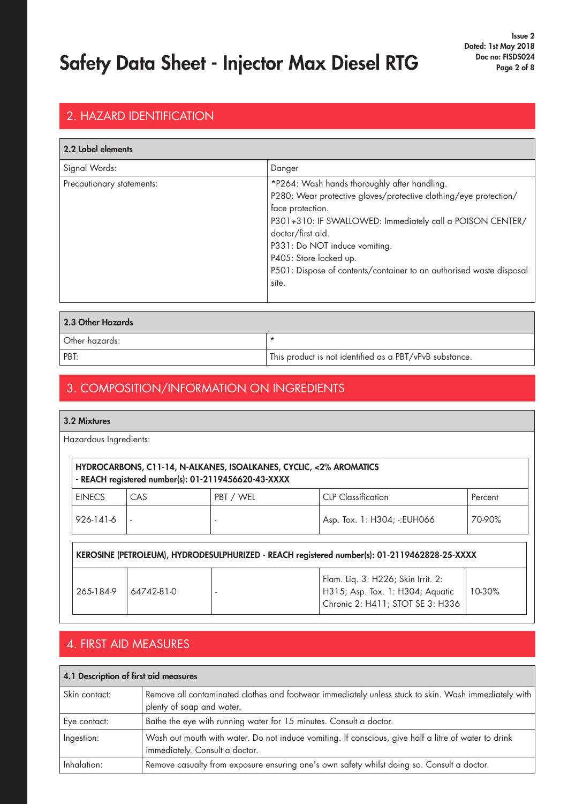## 2. HAZARD IDENTIFICATION

| 2.2 Label elements        |                                                                                                                                                                                                                                                                                                                                                                   |
|---------------------------|-------------------------------------------------------------------------------------------------------------------------------------------------------------------------------------------------------------------------------------------------------------------------------------------------------------------------------------------------------------------|
| Signal Words:             | Danger                                                                                                                                                                                                                                                                                                                                                            |
| Precautionary statements: | *P264: Wash hands thoroughly after handling.<br>P280: Wear protective gloves/protective clothing/eye protection/<br>face protection.<br>P301+310: IF SWALLOWED: Immediately call a POISON CENTER/<br>doctor/first aid.<br>P331: Do NOT induce vomiting.<br>P405: Store locked up.<br>P501: Dispose of contents/container to an authorised waste disposal<br>site. |

| 2.3 Other Hazards |                                                         |  |
|-------------------|---------------------------------------------------------|--|
| Other hazards:    |                                                         |  |
| PBT:              | This product is not identified as a PBT/vPvB substance. |  |

### 3. COMPOSITION/INFORMATION ON INGREDIENTS

3.2 Mixtures

Hazardous Ingredients:

|               |            | - REACH registered number(s): 01-2119456620-43-XXXX | HYDROCARBONS, C11-14, N-ALKANES, ISOALKANES, CYCLIC, <2% AROMATICS                                         |         |
|---------------|------------|-----------------------------------------------------|------------------------------------------------------------------------------------------------------------|---------|
| <b>EINECS</b> | CAS        | PBT / WEL                                           | <b>CLP</b> Classification                                                                                  | Percent |
| 926-141-6     |            |                                                     | Asp. Tox. 1: H304; -: EUH066                                                                               | 70-90%  |
|               |            |                                                     | KEROSINE (PETROLEUM), HYDRODESULPHURIZED - REACH registered number(s): 01-2119462828-25-XXXX               |         |
| 265-184-9     | 64742-81-0 |                                                     | Flam. Liq. 3: H226; Skin Irrit. 2:<br>H315; Asp. Tox. 1: H304; Aquatic<br>Chronic 2: H411; STOT SE 3: H336 | 10-30%  |

### 4. FIRST AID MEASURES

| 4.1 Description of first aid measures |                                                                                                                                        |  |
|---------------------------------------|----------------------------------------------------------------------------------------------------------------------------------------|--|
| Skin contact:                         | Remove all contaminated clothes and footwear immediately unless stuck to skin. Wash immediately with<br>plenty of soap and water.      |  |
| Eye contact:                          | Bathe the eye with running water for 15 minutes. Consult a doctor.                                                                     |  |
| Ingestion:                            | Wash out mouth with water. Do not induce vomiting. If conscious, give half a litre of water to drink<br>immediately. Consult a doctor. |  |
| Inhalation:                           | Remove casualty from exposure ensuring one's own safety whilst doing so. Consult a doctor.                                             |  |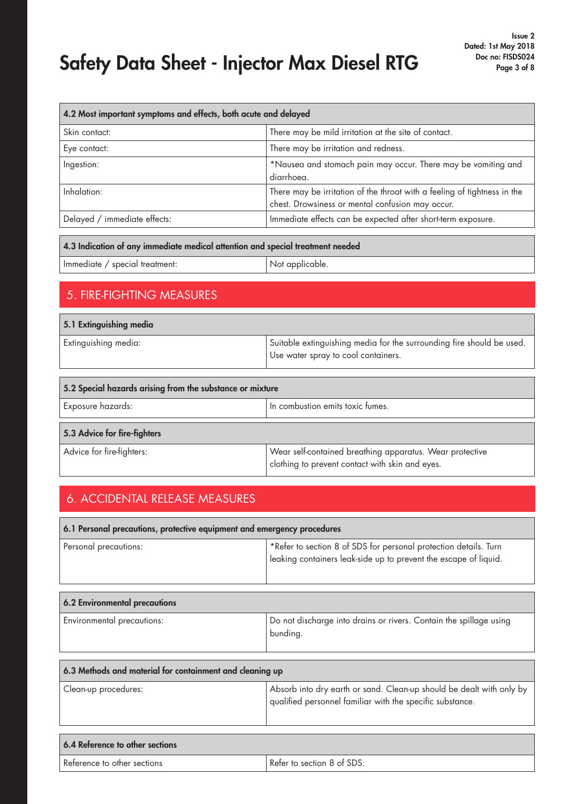| 4.2 Most important symptoms and effects, both acute and delayed |                                                                                                                              |  |
|-----------------------------------------------------------------|------------------------------------------------------------------------------------------------------------------------------|--|
| Skin contact:                                                   | There may be mild irritation at the site of contact.                                                                         |  |
| Eye contact:                                                    | There may be irritation and redness.                                                                                         |  |
| Ingestion:                                                      | *Nausea and stomach pain may occur. There may be vomiting and<br>diarrhoea.                                                  |  |
| Inhalation:                                                     | There may be irritation of the throat with a feeling of tightness in the<br>chest. Drowsiness or mental confusion may occur. |  |
| Delayed / immediate effects:                                    | Immediate effects can be expected after short-term exposure.                                                                 |  |
|                                                                 |                                                                                                                              |  |

#### 4.3 Indication of any immediate medical attention and special treatment needed

| Immediate / special treatment: | Not applicable. |
|--------------------------------|-----------------|
|--------------------------------|-----------------|

### 5. FIRE-FIGHTING MEASURES

| 5.1 Extinguishing media                                   |                                                                                                              |  |
|-----------------------------------------------------------|--------------------------------------------------------------------------------------------------------------|--|
| Extinguishing media:                                      | Suitable extinguishing media for the surrounding fire should be used.<br>Use water spray to cool containers. |  |
| 5.2 Special hazards arising from the substance or mixture |                                                                                                              |  |

| <b>Exposure hazards:</b>     | In combustion emits toxic fumes.                                                                            |
|------------------------------|-------------------------------------------------------------------------------------------------------------|
| 5.3 Advice for fire-fighters |                                                                                                             |
| Advice for fire-fighters:    | Wear self-contained breathing apparatus. Wear protective<br>clothing to prevent contact with skin and eyes. |

## 6. ACCIDENTAL RELEASE MEASURES

| 6.1 Personal precautions, protective equipment and emergency procedures |                                                                                                                                      |  |
|-------------------------------------------------------------------------|--------------------------------------------------------------------------------------------------------------------------------------|--|
| Personal precautions:                                                   | *Refer to section 8 of SDS for personal protection details. Turn<br>leaking containers leak-side up to prevent the escape of liquid. |  |

| 6.2 Environmental precautions     |                                                                                |  |
|-----------------------------------|--------------------------------------------------------------------------------|--|
| <b>Environmental precautions:</b> | Do not discharge into drains or rivers. Contain the spillage using<br>bunding. |  |

| 6.3 Methods and material for containment and cleaning up |                                                                                                                                   |  |
|----------------------------------------------------------|-----------------------------------------------------------------------------------------------------------------------------------|--|
| Clean-up procedures:                                     | Absorb into dry earth or sand. Clean-up should be dealt with only by<br>qualified personnel familiar with the specific substance. |  |

| 6.4 Reference to other sections |                            |
|---------------------------------|----------------------------|
| Reference to other sections     | Refer to section 8 of SDS. |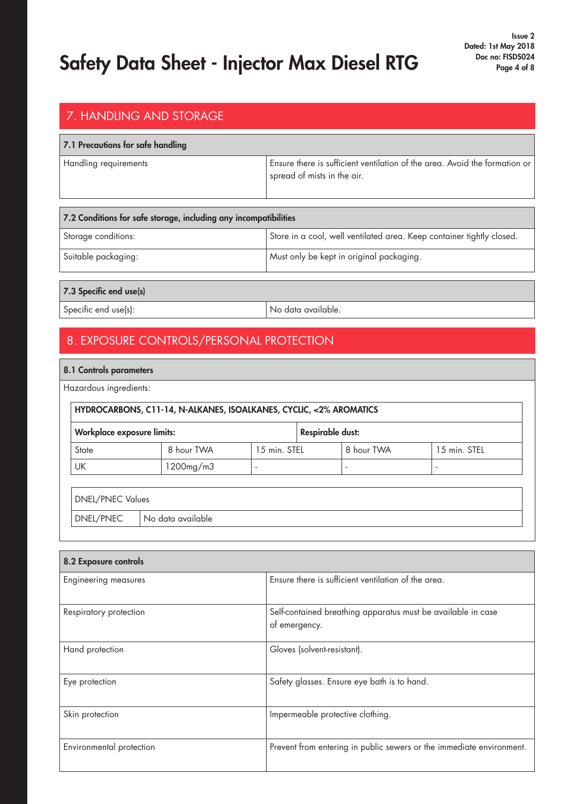### 7. HANDLING AND STORAGE

#### 7.1 Precautions for safe handling

Handling requirements Ensure there is sufficient ventilation of the area. Avoid the formation or spread of mists in the air.

| 7.2 Conditions for safe storage, including any incompatibilities |                                                                       |  |
|------------------------------------------------------------------|-----------------------------------------------------------------------|--|
| Storage conditions:                                              | Store in a cool, well ventilated area. Keep container tightly closed. |  |
| Suitable packaging:                                              | Must only be kept in original packaging.                              |  |
|                                                                  |                                                                       |  |

### 7.3 Specific end use(s)

Specific end use(s): No data available.

### 8. EXPOSURE CONTROLS/PERSONAL PROTECTION

#### 8.1 Controls parameters

Hazardous ingredients:

| <b>Workplace exposure limits:</b> |            |              | <b>Respirable dust:</b> |              |
|-----------------------------------|------------|--------------|-------------------------|--------------|
| State                             | 8 hour TWA | 15 min. STEL | 8 hour TWA              | 15 min. STEL |
| UK                                | 1200mg/m3  |              |                         |              |

 $DNEL/PNEC$  No data available

| 8.2 Exposure controls       |                                                                               |  |
|-----------------------------|-------------------------------------------------------------------------------|--|
| <b>Engineering measures</b> | Ensure there is sufficient ventilation of the area.                           |  |
| Respiratory protection      | Self-contained breathing apparatus must be available in case<br>of emergency. |  |
| Hand protection             | Gloves (solvent-resistant).                                                   |  |
| Eye protection              | Safety glasses. Ensure eye bath is to hand.                                   |  |
| Skin protection             | Impermeable protective clothing.                                              |  |
| Environmental protection    | Prevent from entering in public sewers or the immediate environment.          |  |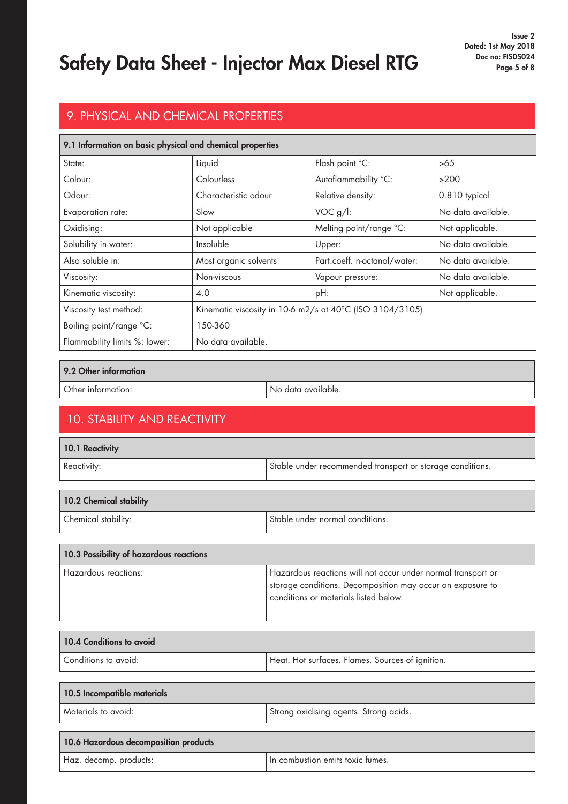Issue 2 Dated: 1st May 2018

## 9. PHYSICAL AND CHEMICAL PROPERTIES

| 9.1 Information on basic physical and chemical properties |                                                          |                              |                    |
|-----------------------------------------------------------|----------------------------------------------------------|------------------------------|--------------------|
| State:                                                    | Liquid                                                   | Flash point °C:              | >65                |
| Colour:                                                   | Colourless                                               | Autoflammability °C:         | >200               |
| Odour:                                                    | Characteristic odour                                     | Relative density:            | 0.810 typical      |
| Evaporation rate:                                         | Slow                                                     | VOC g/l:                     | No data available. |
| Oxidising:                                                | Not applicable                                           | Melting point/range °C:      | Not applicable.    |
| Solubility in water:                                      | Insoluble                                                | Upper:                       | No data available. |
| Also soluble in:                                          | Most organic solvents                                    | Part.coeff. n-octanol/water: | No data available. |
| Viscosity:                                                | Non-viscous                                              | Vapour pressure:             | No data available. |
| Kinematic viscosity:                                      | 4.0                                                      | pH:                          | Not applicable.    |
| Viscosity test method:                                    | Kinematic viscosity in 10-6 m2/s at 40°C (ISO 3104/3105) |                              |                    |
| Boiling point/range °C:                                   | 150-360                                                  |                              |                    |
| Flammability limits %: lower:                             | No data available.                                       |                              |                    |

#### 9.2 Other information

Other information: No data available.

## 10. STABILITY AND REACTIVITY

| 10.1 Reactivity |                                                           |
|-----------------|-----------------------------------------------------------|
| Reactivity:     | Stable under recommended transport or storage conditions. |

| 10.2 Chemical stability |                                 |
|-------------------------|---------------------------------|
| Chemical stability:     | Stable under normal conditions. |

| 10.3 Possibility of hazardous reactions |                                                                                                                                                                     |
|-----------------------------------------|---------------------------------------------------------------------------------------------------------------------------------------------------------------------|
| Hazardous reactions:                    | Hazardous reactions will not occur under normal transport or<br>storage conditions. Decomposition may occur on exposure to<br>conditions or materials listed below. |

| 10.4 Conditions to avoid |                                                  |
|--------------------------|--------------------------------------------------|
| l Conditions to avoid:   | Heat. Hot surfaces. Flames. Sources of ignition. |

| 10.5 Incompatible materials |                                          |
|-----------------------------|------------------------------------------|
| Materials to avoid:         | I Strong oxidising agents. Strong acids. |
|                             |                                          |

| 10.6 Hazardous decomposition products |                                  |
|---------------------------------------|----------------------------------|
| Haz. decomp. products:                | In combustion emits toxic fumes. |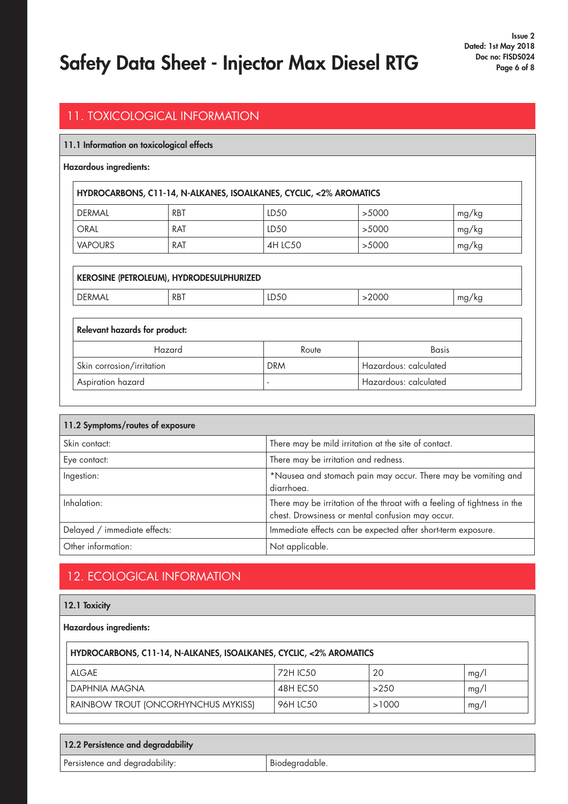### 11. TOXICOLOGICAL INFORMATION

#### 11.1 Information on toxicological effects

#### Hazardous ingredients:

| HYDROCARBONS, C11-14, N-ALKANES, ISOALKANES, CYCLIC, <2% AROMATICS |            |                  |       |       |
|--------------------------------------------------------------------|------------|------------------|-------|-------|
| DERMAL                                                             | <b>RBT</b> | LD50             | >5000 | mg/kg |
| <b>ORAL</b>                                                        | RAT        | LD <sub>50</sub> | >5000 | mg/kg |
| <b>VAPOURS</b>                                                     | RAT        | 4H LC50          | >5000 | mg/kg |

| KEROSINE (PETROLEUM), HYDRODESULPHURIZED |            |                          |                       |       |
|------------------------------------------|------------|--------------------------|-----------------------|-------|
| <b>DERMAL</b>                            | <b>RBT</b> | LD50                     | >2000                 | mg/kg |
|                                          |            |                          |                       |       |
| <b>Relevant hazards for product:</b>     |            |                          |                       |       |
| Hazard<br><b>Basis</b><br>Route          |            |                          |                       |       |
| Skin corrosion/irritation                |            | <b>DRM</b>               | Hazardous: calculated |       |
| Aspiration hazard                        |            | $\overline{\phantom{a}}$ | Hazardous: calculated |       |

| 11.2 Symptoms/routes of exposure |                                                                                                                              |
|----------------------------------|------------------------------------------------------------------------------------------------------------------------------|
| Skin contact:                    | There may be mild irritation at the site of contact.                                                                         |
| Eye contact:                     | There may be irritation and redness.                                                                                         |
| Ingestion:                       | *Nausea and stomach pain may occur. There may be vomiting and<br>diarrhoea.                                                  |
| Inhalation:                      | There may be irritation of the throat with a feeling of tightness in the<br>chest. Drowsiness or mental confusion may occur. |
| Delayed / immediate effects:     | Immediate effects can be expected after short-term exposure.                                                                 |
| Other information:               | Not applicable.                                                                                                              |

## 12. ECOLOGICAL INFORMATION

|  | 12.1 Toxicity |
|--|---------------|
|--|---------------|

Hazardous ingredients:

| HYDROCARBONS, C11-14, N-ALKANES, ISOALKANES, CYCLIC, <2% AROMATICS |           |       |      |
|--------------------------------------------------------------------|-----------|-------|------|
| AIGAF                                                              | 72H IC.50 | 20    | mg/l |
| DAPHNIA MAGNA                                                      | 48H EC50  | >250  | mg/l |
| RAINBOW TROUT (ONCORHYNCHUS MYKISS)                                | 96H LC50  | >1000 | mg/l |

| 12.2 Persistence and degradability |                |
|------------------------------------|----------------|
| Persistence and degradability:     | Biodegradable. |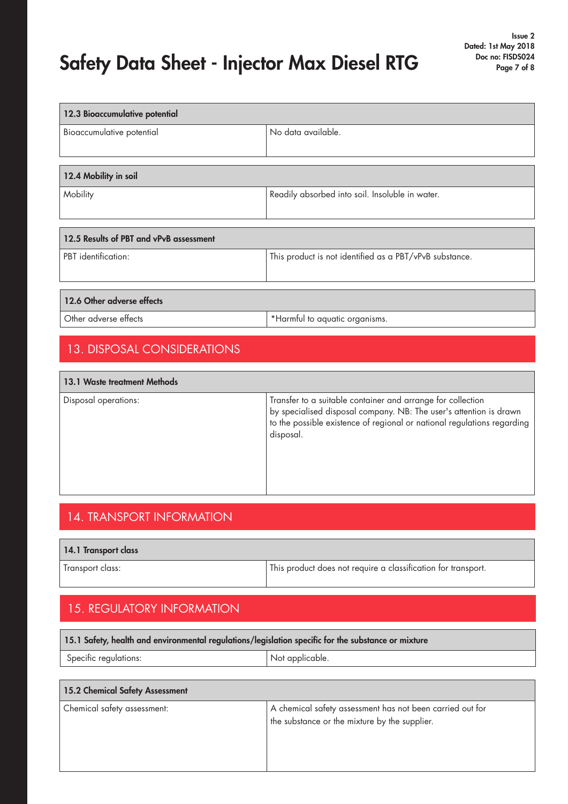| 12.3 Bioaccumulative potential          |                                                         |  |
|-----------------------------------------|---------------------------------------------------------|--|
| Bioaccumulative potential               | No data available.                                      |  |
|                                         |                                                         |  |
| 12.4 Mobility in soil                   |                                                         |  |
|                                         |                                                         |  |
| Mobility                                | Readily absorbed into soil. Insoluble in water.         |  |
|                                         |                                                         |  |
|                                         |                                                         |  |
| 12.5 Results of PBT and vPvB assessment |                                                         |  |
| PBT identification:                     | This product is not identified as a PBT/vPvB substance. |  |
|                                         |                                                         |  |
|                                         |                                                         |  |
| 12.6 Other adverse effects              |                                                         |  |
| Other adverse effects                   | *Harmful to aquatic organisms.                          |  |
|                                         |                                                         |  |
| <b>13. DISPOSAL CONSIDERATIONS</b>      |                                                         |  |
|                                         |                                                         |  |
|                                         |                                                         |  |

| 13.1 Waste treatment Methods |                                                                                                                                                                                                                           |  |
|------------------------------|---------------------------------------------------------------------------------------------------------------------------------------------------------------------------------------------------------------------------|--|
| Disposal operations:         | Transfer to a suitable container and arrange for collection<br>by specialised disposal company. NB: The user's attention is drawn<br>to the possible existence of regional or national regulations regarding<br>disposal. |  |

## 14. TRANSPORT INFORMATION

| 14.1 Transport class |                                                               |
|----------------------|---------------------------------------------------------------|
| Transport class:     | This product does not require a classification for transport. |

## 15. REGULATORY INFORMATION

| 15.1 Safety, health and environmental regulations/legislation specific for the substance or mixture |  |  |
|-----------------------------------------------------------------------------------------------------|--|--|
| <sup>S</sup> pecific regulations:<br><sup>1</sup> Not applicable.                                   |  |  |
|                                                                                                     |  |  |
| 15.2 Chemical Safety Assessment                                                                     |  |  |

| Chemical safety assessment: | A chemical safety assessment has not been carried out for<br>the substance or the mixture by the supplier. |
|-----------------------------|------------------------------------------------------------------------------------------------------------|